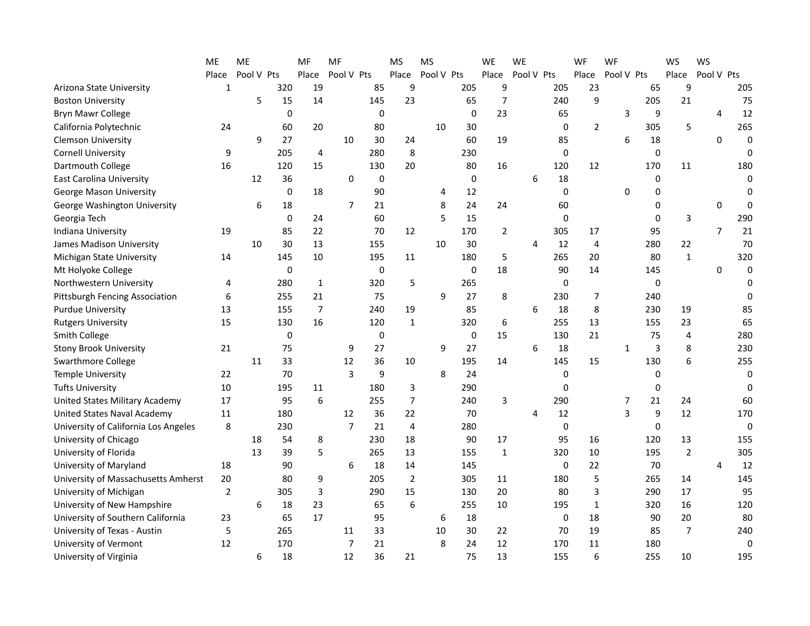|                                       | ME             | ME         |             | MF             | MF             |           | <b>MS</b>      | <b>MS</b>  |             | WE             | <b>WE</b>  |             | WF             | WF          |             | WS             | WS             |             |
|---------------------------------------|----------------|------------|-------------|----------------|----------------|-----------|----------------|------------|-------------|----------------|------------|-------------|----------------|-------------|-------------|----------------|----------------|-------------|
|                                       | Place          | Pool V Pts |             | Place          | Pool V Pts     |           | Place          | Pool V Pts |             | Place          | Pool V Pts |             | Place          | Pool V Pts  |             | Place          | Pool V Pts     |             |
| Arizona State University              | 1              |            | 320         | 19             |                | 85        | 9              |            | 205         | 9              |            | 205         | 23             |             | 65          | 9              |                | 205         |
| <b>Boston University</b>              |                | 5          | 15          | 14             |                | 145       | 23             |            | 65          | 7              |            | 240         | 9              |             | 205         | 21             |                | 75          |
| Bryn Mawr College                     |                |            | $\mathbf 0$ |                |                | 0         |                |            | $\mathbf 0$ | 23             |            | 65          |                | 3           | 9           |                | 4              | 12          |
| California Polytechnic                | 24             |            | 60          | 20             |                | 80        |                | 10         | 30          |                |            | 0           | $\overline{2}$ |             | 305         | 5              |                | 265         |
| <b>Clemson University</b>             |                | 9          | 27          |                | 10             | 30        | 24             |            | 60          | 19             |            | 85          |                | 6           | 18          |                | 0              | $\mathbf 0$ |
| <b>Cornell University</b>             | 9              |            | 205         | 4              |                | 280       | 8              |            | 230         |                |            | $\mathbf 0$ |                |             | 0           |                |                | $\Omega$    |
| Dartmouth College                     | 16             |            | 120         | 15             |                | 130       | 20             |            | 80          | 16             |            | 120         | 12             |             | 170         | 11             |                | 180         |
| <b>East Carolina University</b>       |                | 12         | 36          |                | $\mathbf 0$    | $\pmb{0}$ |                |            | $\mathbf 0$ |                | 6          | 18          |                |             | 0           |                |                | $\Omega$    |
| George Mason University               |                |            | $\mathbf 0$ | 18             |                | 90        |                | 4          | 12          |                |            | $\mathbf 0$ |                | 0           | 0           |                |                | $\Omega$    |
| George Washington University          |                | 6          | 18          |                | $\overline{7}$ | 21        |                | 8          | 24          | 24             |            | 60          |                |             | $\Omega$    |                | $\Omega$       | $\Omega$    |
| Georgia Tech                          |                |            | 0           | 24             |                | 60        |                | 5          | 15          |                |            | 0           |                |             | $\Omega$    | 3              |                | 290         |
| Indiana University                    | 19             |            | 85          | 22             |                | 70        | 12             |            | 170         | $\overline{2}$ |            | 305         | 17             |             | 95          |                | $\overline{7}$ | 21          |
| James Madison University              |                | 10         | 30          | 13             |                | 155       |                | 10         | 30          |                | 4          | 12          | 4              |             | 280         | 22             |                | 70          |
| Michigan State University             | 14             |            | 145         | 10             |                | 195       | 11             |            | 180         | 5              |            | 265         | 20             |             | 80          | $\mathbf 1$    |                | 320         |
| Mt Holyoke College                    |                |            | 0           |                |                | 0         |                |            | 0           | 18             |            | 90          | 14             |             | 145         |                | 0              | $\mathbf 0$ |
| Northwestern University               | 4              |            | 280         | $\mathbf{1}$   |                | 320       | 5              |            | 265         |                |            | $\mathbf 0$ |                |             | 0           |                |                | $\mathbf 0$ |
| Pittsburgh Fencing Association        | 6              |            | 255         | 21             |                | 75        |                | 9          | 27          | 8              |            | 230         | 7              |             | 240         |                |                | $\Omega$    |
| <b>Purdue University</b>              | 13             |            | 155         | $\overline{7}$ |                | 240       | 19             |            | 85          |                | 6          | 18          | 8              |             | 230         | 19             |                | 85          |
| <b>Rutgers University</b>             | 15             |            | 130         | 16             |                | 120       | $\mathbf{1}$   |            | 320         | 6              |            | 255         | 13             |             | 155         | 23             |                | 65          |
| <b>Smith College</b>                  |                |            | 0           |                |                | 0         |                |            | 0           | 15             |            | 130         | 21             |             | 75          | 4              |                | 280         |
| <b>Stony Brook University</b>         | 21             |            | 75          |                | 9              | 27        |                | 9          | 27          |                | 6          | 18          |                | $\mathbf 1$ | 3           | 8              |                | 230         |
| <b>Swarthmore College</b>             |                | 11         | 33          |                | 12             | 36        | 10             |            | 195         | 14             |            | 145         | 15             |             | 130         | 6              |                | 255         |
| <b>Temple University</b>              | 22             |            | 70          |                | 3              | 9         |                | 8          | 24          |                |            | 0           |                |             | 0           |                |                | $\Omega$    |
| <b>Tufts University</b>               | 10             |            | 195         | $11\,$         |                | 180       | 3              |            | 290         |                |            | 0           |                |             | 0           |                |                | $\Omega$    |
| <b>United States Military Academy</b> | 17             |            | 95          | 6              |                | 255       | $\overline{7}$ |            | 240         | 3              |            | 290         |                | 7           | 21          | 24             |                | 60          |
| <b>United States Naval Academy</b>    | 11             |            | 180         |                | 12             | 36        | 22             |            | 70          |                | 4          | 12          |                | 3           | 9           | 12             |                | 170         |
| University of California Los Angeles  | 8              |            | 230         |                | $\overline{7}$ | 21        | $\overline{4}$ |            | 280         |                |            | 0           |                |             | $\mathbf 0$ |                |                | $\mathbf 0$ |
| University of Chicago                 |                | 18         | 54          | 8              |                | 230       | 18             |            | 90          | 17             |            | 95          | 16             |             | 120         | 13             |                | 155         |
| University of Florida                 |                | 13         | 39          | 5              |                | 265       | 13             |            | 155         | $\mathbf 1$    |            | 320         | 10             |             | 195         | $\overline{2}$ |                | 305         |
| University of Maryland                | 18             |            | 90          |                | 6              | 18        | 14             |            | 145         |                |            | $\mathbf 0$ | 22             |             | 70          |                | $\overline{4}$ | 12          |
| University of Massachusetts Amherst   | 20             |            | 80          | 9              |                | 205       | $\overline{2}$ |            | 305         | 11             |            | 180         | 5              |             | 265         | 14             |                | 145         |
| University of Michigan                | $\overline{2}$ |            | 305         | 3              |                | 290       | 15             |            | 130         | 20             |            | 80          | 3              |             | 290         | 17             |                | 95          |
| University of New Hampshire           |                | 6          | 18          | 23             |                | 65        | 6              |            | 255         | 10             |            | 195         | 1              |             | 320         | 16             |                | 120         |
| University of Southern California     | 23             |            | 65          | 17             |                | 95        |                | 6          | 18          |                |            | 0           | 18             |             | 90          | 20             |                | 80          |
| University of Texas - Austin          | 5              |            | 265         |                | 11             | 33        |                | 10         | 30          | 22             |            | 70          | 19             |             | 85          | $\overline{7}$ |                | 240         |
| University of Vermont                 | 12             |            | 170         |                | 7              | 21        |                | 8          | 24          | 12             |            | 170         | 11             |             | 180         |                |                | $\mathbf 0$ |
| University of Virginia                |                | 6          | 18          |                | 12             | 36        | 21             |            | 75          | 13             |            | 155         | 6              |             | 255         | 10             |                | 195         |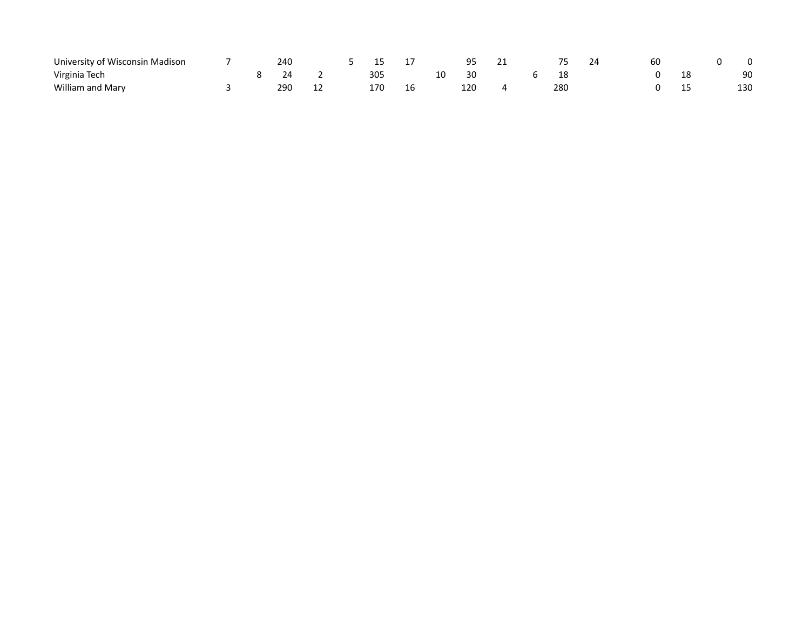| University of Wisconsin Madison |  | 240 |   |     |  | ۵۵  |  |     | 24 | 60 |    |     |
|---------------------------------|--|-----|---|-----|--|-----|--|-----|----|----|----|-----|
| Virginia Tech                   |  |     |   | 305 |  |     |  | 18  |    |    | TΟ | 90  |
| William and Mary                |  | 290 | ᆠ | 170 |  | 120 |  | 280 |    |    | -- | 130 |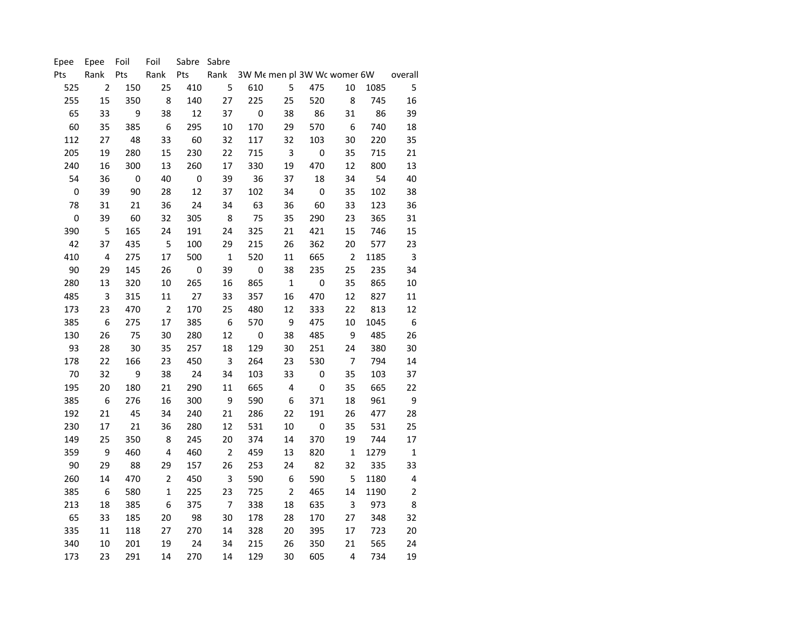| Epee        | Epee                    | Foil      | Foil             | Sabre Sabre      |                |                  |                  |                             |                  |      |                  |
|-------------|-------------------------|-----------|------------------|------------------|----------------|------------------|------------------|-----------------------------|------------------|------|------------------|
| Pts         | Rank                    | Pts       | Rank             | Pts              | Rank           |                  |                  | 3W Me men pl 3W Wc womer 6W |                  |      | overall          |
| 525         | $\overline{2}$          | 150       | 25               | 410              | 5              | 610              | 5                | 475                         | 10               | 1085 | 5                |
| 255         | 15                      | 350       | 8                | 140              | 27             | 225              | 25               | 520                         | 8                | 745  | 16               |
| 65          | 33                      | 9         | 38               | 12               | 37             | $\pmb{0}$        | 38               | 86                          | 31               | 86   | 39               |
| 60          | 35                      | 385       | $\boldsymbol{6}$ | 295              | $10\,$         | 170              | 29               | 570                         | $\boldsymbol{6}$ | 740  | 18               |
| 112         | 27                      | 48        | 33               | 60               | 32             | 117              | 32               | 103                         | 30               | 220  | 35               |
| 205         | 19                      | 280       | 15               | 230              | 22             | 715              | $\mathsf 3$      | $\boldsymbol{0}$            | 35               | 715  | 21               |
| 240         | 16                      | 300       | 13               | 260              | 17             | 330              | 19               | 470                         | 12               | 800  | 13               |
| 54          | 36                      | $\pmb{0}$ | 40               | $\boldsymbol{0}$ | 39             | 36               | 37               | 18                          | 34               | 54   | 40               |
| $\pmb{0}$   | 39                      | 90        | 28               | 12               | 37             | 102              | 34               | $\mathbf 0$                 | 35               | 102  | 38               |
| 78          | 31                      | 21        | 36               | 24               | 34             | 63               | 36               | 60                          | 33               | 123  | 36               |
| $\mathbf 0$ | 39                      | 60        | 32               | 305              | $\bf 8$        | 75               | 35               | 290                         | 23               | 365  | 31               |
| 390         | 5                       | 165       | 24               | 191              | 24             | 325              | 21               | 421                         | 15               | 746  | 15               |
| 42          | 37                      | 435       | 5                | 100              | 29             | 215              | 26               | 362                         | 20               | 577  | 23               |
| 410         | $\overline{\mathbf{4}}$ | 275       | 17               | 500              | $\mathbf 1$    | 520              | 11               | 665                         | $\mathbf 2$      | 1185 | 3                |
| 90          | 29                      | 145       | 26               | $\boldsymbol{0}$ | 39             | $\boldsymbol{0}$ | 38               | 235                         | 25               | 235  | 34               |
| 280         | 13                      | 320       | $10\,$           | 265              | 16             | 865              | $\mathbf 1$      | $\boldsymbol{0}$            | 35               | 865  | $10\,$           |
| 485         | 3                       | 315       | 11               | 27               | 33             | 357              | 16               | 470                         | 12               | 827  | 11               |
| 173         | 23                      | 470       | $\overline{2}$   | 170              | 25             | 480              | 12               | 333                         | 22               | 813  | 12               |
| 385         | 6                       | 275       | 17               | 385              | 6              | 570              | 9                | 475                         | 10               | 1045 | $\boldsymbol{6}$ |
| 130         | 26                      | 75        | 30               | 280              | 12             | $\boldsymbol{0}$ | 38               | 485                         | 9                | 485  | 26               |
| 93          | 28                      | 30        | 35               | 257              | 18             | 129              | 30               | 251                         | 24               | 380  | 30               |
| 178         | 22                      | 166       | 23               | 450              | 3              | 264              | 23               | 530                         | 7                | 794  | 14               |
| 70          | 32                      | 9         | 38               | 24               | 34             | 103              | 33               | $\pmb{0}$                   | 35               | 103  | 37               |
| 195         | 20                      | 180       | 21               | 290              | 11             | 665              | $\pmb{4}$        | $\boldsymbol{0}$            | 35               | 665  | 22               |
| 385         | $\boldsymbol{6}$        | 276       | 16               | 300              | 9              | 590              | $\boldsymbol{6}$ | 371                         | 18               | 961  | $\boldsymbol{9}$ |
| 192         | 21                      | 45        | 34               | 240              | 21             | 286              | 22               | 191                         | 26               | 477  | 28               |
| 230         | 17                      | 21        | 36               | 280              | 12             | 531              | 10               | $\boldsymbol{0}$            | 35               | 531  | 25               |
| 149         | 25                      | 350       | 8                | 245              | 20             | 374              | 14               | 370                         | 19               | 744  | 17               |
| 359         | 9                       | 460       | $\pmb{4}$        | 460              | $\mathbf 2$    | 459              | 13               | 820                         | $\mathbf 1$      | 1279 | $\mathbf 1$      |
| 90          | 29                      | 88        | 29               | 157              | 26             | 253              | 24               | 82                          | 32               | 335  | 33               |
| 260         | 14                      | 470       | $\overline{2}$   | 450              | 3              | 590              | $\boldsymbol{6}$ | 590                         | 5                | 1180 | 4                |
| 385         | 6                       | 580       | $\mathbf 1$      | 225              | 23             | 725              | $\mathbf 2$      | 465                         | 14               | 1190 | $\mathbf 2$      |
| 213         | 18                      | 385       | 6                | 375              | $\overline{7}$ | 338              | 18               | 635                         | 3                | 973  | 8                |
| 65          | 33                      | 185       | 20               | 98               | 30             | 178              | 28               | 170                         | 27               | 348  | 32               |
| 335         | 11                      | 118       | 27               | 270              | 14             | 328              | 20               | 395                         | 17               | 723  | 20               |
| 340         | 10                      | 201       | 19               | 24               | 34             | 215              | 26               | 350                         | 21               | 565  | 24               |
| 173         | 23                      | 291       | 14               | 270              | 14             | 129              | 30               | 605                         | 4                | 734  | 19               |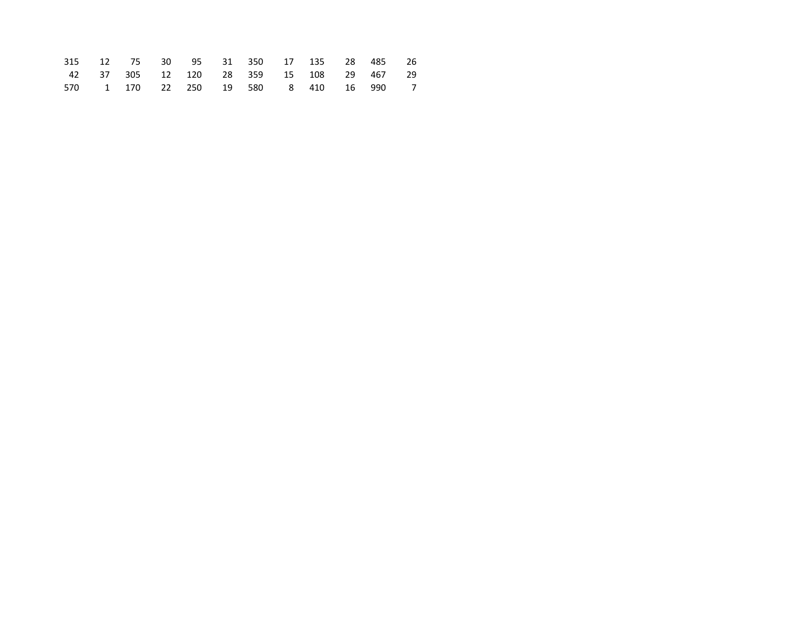|  | 315 12 75 30 95 31 350 17 135 28 485 26  |  |  |  |  |  |
|--|------------------------------------------|--|--|--|--|--|
|  | 42 37 305 12 120 28 359 15 108 29 467 29 |  |  |  |  |  |
|  | 570 1 170 22 250 19 580 8 410 16 990 7   |  |  |  |  |  |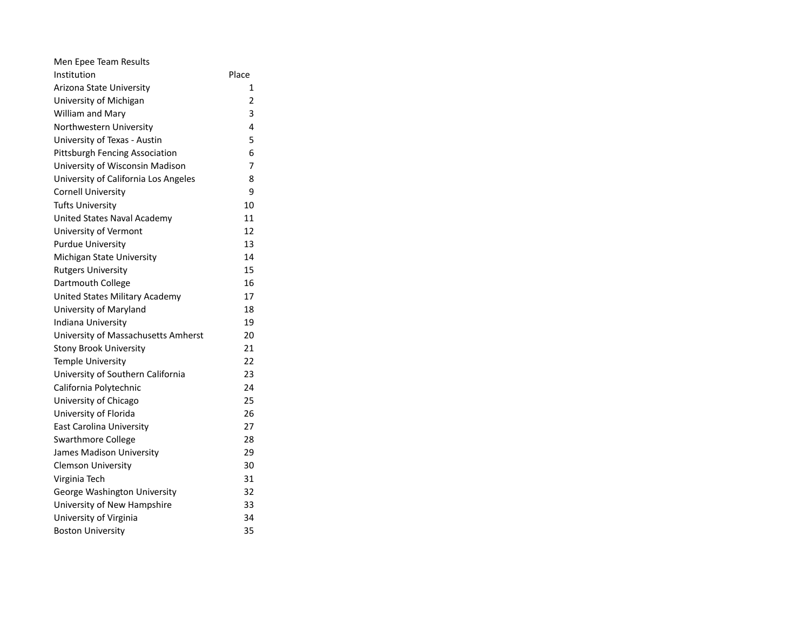| Men Epee Team Results                |                |
|--------------------------------------|----------------|
| Institution                          | Place          |
| Arizona State University             | 1              |
| University of Michigan               | $\overline{2}$ |
| William and Mary                     | 3              |
| Northwestern University              | 4              |
| University of Texas - Austin         | 5              |
| Pittsburgh Fencing Association       | 6              |
| University of Wisconsin Madison      | 7              |
| University of California Los Angeles | 8              |
| <b>Cornell University</b>            | 9              |
| <b>Tufts University</b>              | 10             |
| <b>United States Naval Academy</b>   | 11             |
| University of Vermont                | 12             |
| <b>Purdue University</b>             | 13             |
| Michigan State University            | 14             |
| <b>Rutgers University</b>            | 15             |
| Dartmouth College                    | 16             |
| United States Military Academy       | 17             |
| University of Maryland               | 18             |
| Indiana University                   | 19             |
| University of Massachusetts Amherst  | 20             |
| <b>Stony Brook University</b>        | 21             |
| <b>Temple University</b>             | 22             |
| University of Southern California    | 23             |
| California Polytechnic               | 24             |
| University of Chicago                | 25             |
| University of Florida                | 26             |
| East Carolina University             | 27             |
| <b>Swarthmore College</b>            | 28             |
| James Madison University             | 29             |
| <b>Clemson University</b>            | 30             |
| Virginia Tech                        | 31             |
| George Washington University         | 32             |
| University of New Hampshire          | 33             |
| University of Virginia               | 34             |
| <b>Boston University</b>             | 35             |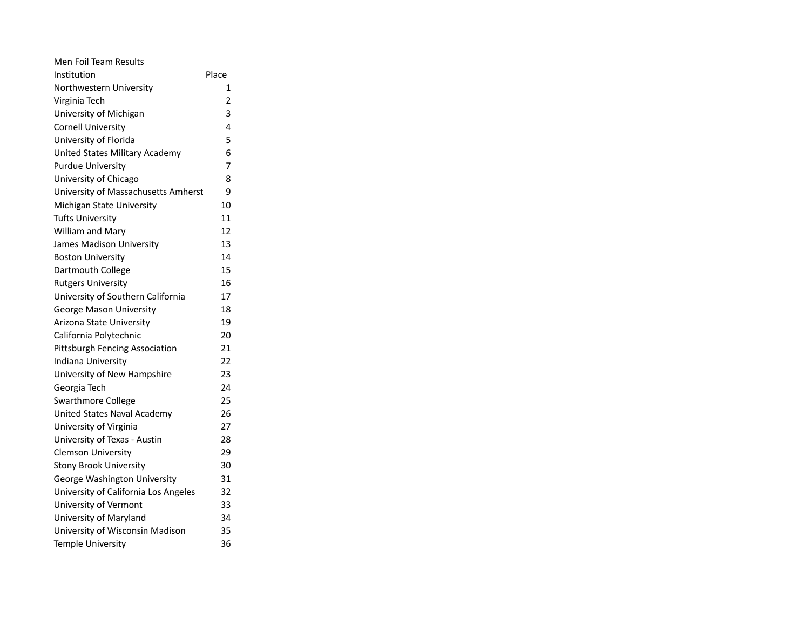| Men Foil Team Results                 |                |
|---------------------------------------|----------------|
| Institution                           | Place          |
| Northwestern University               | 1              |
| Virginia Tech                         | $\overline{2}$ |
| University of Michigan                | 3              |
| <b>Cornell University</b>             | 4              |
| University of Florida                 | 5              |
| <b>United States Military Academy</b> | 6              |
| <b>Purdue University</b>              | 7              |
| University of Chicago                 | 8              |
| University of Massachusetts Amherst   | 9              |
| Michigan State University             | 10             |
| Tufts University                      | 11             |
| William and Mary                      | 12             |
| James Madison University              | 13             |
| <b>Boston University</b>              | 14             |
| Dartmouth College                     | 15             |
| <b>Rutgers University</b>             | 16             |
| University of Southern California     | 17             |
| <b>George Mason University</b>        | 18             |
| Arizona State University              | 19             |
| California Polytechnic                | 20             |
| Pittsburgh Fencing Association        | 21             |
| Indiana University                    | 22             |
| University of New Hampshire           | 23             |
| Georgia Tech                          | 24             |
| <b>Swarthmore College</b>             | 25             |
| <b>United States Naval Academy</b>    | 26             |
| University of Virginia                | 27             |
| University of Texas - Austin          | 28             |
| <b>Clemson University</b>             | 29             |
| <b>Stony Brook University</b>         | 30             |
| George Washington University          | 31             |
| University of California Los Angeles  | 32             |
| University of Vermont                 | 33             |
| University of Maryland                | 34             |
| University of Wisconsin Madison       | 35             |
| <b>Temple University</b>              | 36             |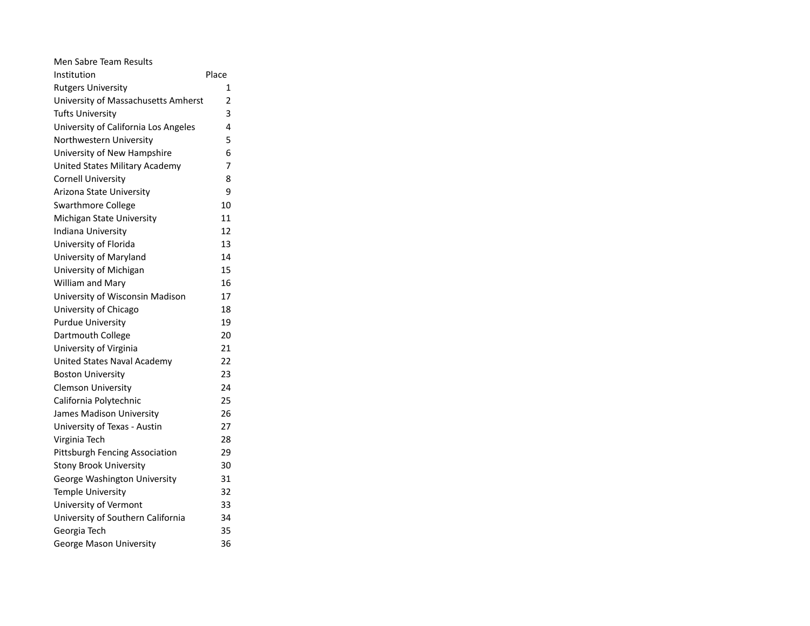| Men Sabre Team Results                |                |
|---------------------------------------|----------------|
| Institution                           | Place          |
| <b>Rutgers University</b>             | 1              |
| University of Massachusetts Amherst   | $\overline{2}$ |
| <b>Tufts University</b>               | 3              |
| University of California Los Angeles  | 4              |
| Northwestern University               | 5              |
| University of New Hampshire           | 6              |
| <b>United States Military Academy</b> | 7              |
| <b>Cornell University</b>             | 8              |
| Arizona State University              | 9              |
| Swarthmore College                    | 10             |
| Michigan State University             | 11             |
| Indiana University                    | 12             |
| University of Florida                 | 13             |
| University of Maryland                | 14             |
| University of Michigan                | 15             |
| William and Mary                      | 16             |
| University of Wisconsin Madison       | 17             |
| University of Chicago                 | 18             |
| <b>Purdue University</b>              | 19             |
| Dartmouth College                     | 20             |
| University of Virginia                | 21             |
| United States Naval Academy           | 22             |
| <b>Boston University</b>              | 23             |
| <b>Clemson University</b>             | 24             |
| California Polytechnic                | 25             |
| James Madison University              | 26             |
| University of Texas - Austin          | 27             |
| Virginia Tech                         | 28             |
| Pittsburgh Fencing Association        | 29             |
| <b>Stony Brook University</b>         | 30             |
| George Washington University          | 31             |
| Temple University                     | 32             |
| University of Vermont                 | 33             |
| University of Southern California     | 34             |
| Georgia Tech                          | 35             |
| <b>George Mason University</b>        | 36             |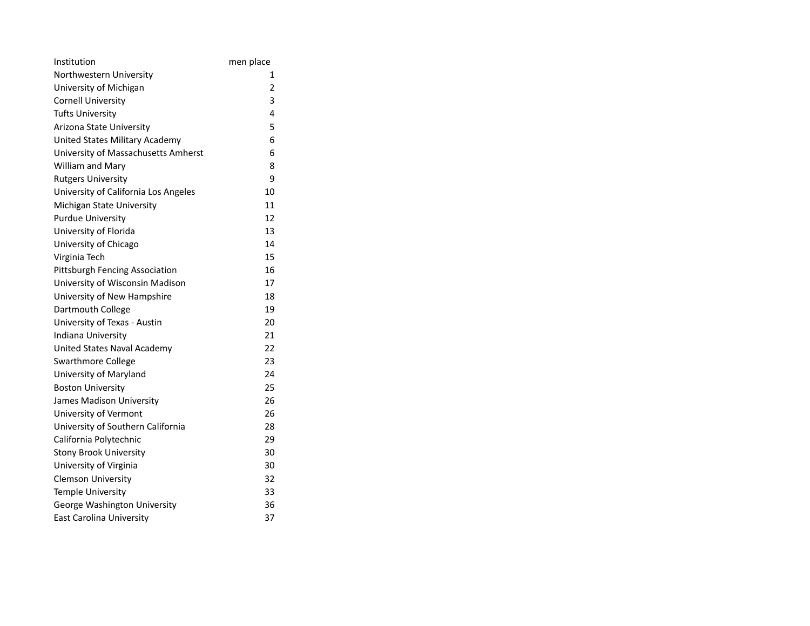| Institution                           | men place      |
|---------------------------------------|----------------|
| Northwestern University               | 1              |
| University of Michigan                | $\overline{2}$ |
| <b>Cornell University</b>             | 3              |
| <b>Tufts University</b>               | 4              |
| Arizona State University              | 5              |
| <b>United States Military Academy</b> | 6              |
| University of Massachusetts Amherst   | 6              |
| <b>William and Mary</b>               | 8              |
| <b>Rutgers University</b>             | ٩              |
| University of California Los Angeles  | 10             |
| Michigan State University             | 11             |
| <b>Purdue University</b>              | 12             |
| University of Florida                 | 13             |
| University of Chicago                 | 14             |
| Virginia Tech                         | 15             |
| Pittsburgh Fencing Association        | 16             |
| University of Wisconsin Madison       | 17             |
| University of New Hampshire           | 18             |
| Dartmouth College                     | 19             |
| University of Texas - Austin          | 20             |
| Indiana University                    | 21             |
| <b>United States Naval Academy</b>    | 22             |
| <b>Swarthmore College</b>             | 23             |
| University of Maryland                | 24             |
| <b>Boston University</b>              | 25             |
| James Madison University              | 26             |
| University of Vermont                 | 26             |
| University of Southern California     | 28             |
| California Polytechnic                | 29             |
| <b>Stony Brook University</b>         | 30             |
| University of Virginia                | 30             |
| <b>Clemson University</b>             | 32             |
| <b>Temple University</b>              | 33             |
| George Washington University          | 36             |
| <b>East Carolina University</b>       | 37             |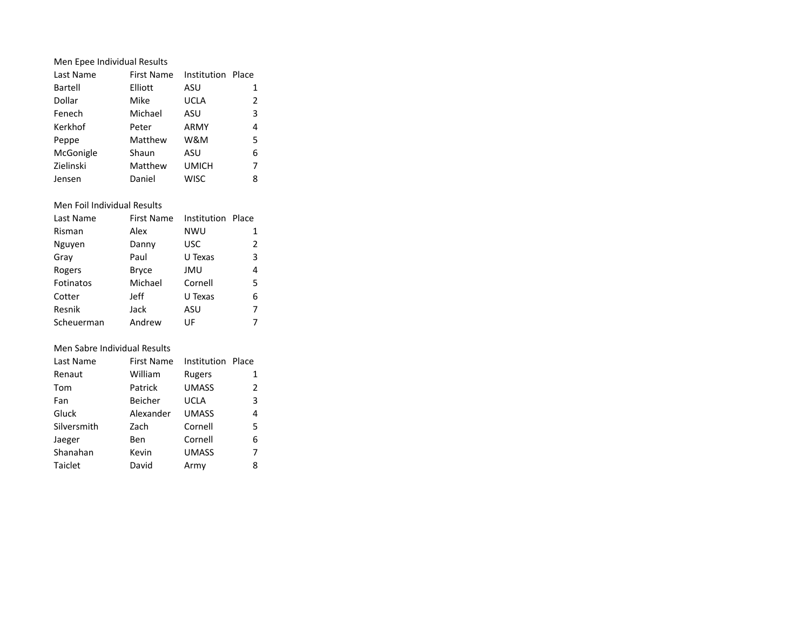| Men Epee Individual Results |                              |                   |   |  |  |  |  |  |
|-----------------------------|------------------------------|-------------------|---|--|--|--|--|--|
| Last Name                   | <b>First Name</b>            | Institution Place |   |  |  |  |  |  |
| Bartell                     | Elliott                      | ASU               | 1 |  |  |  |  |  |
| Dollar                      | Mike                         | <b>UCLA</b>       | 2 |  |  |  |  |  |
| Fenech                      | Michael                      | ASU               | 3 |  |  |  |  |  |
| Kerkhof                     | Peter                        | ARMY              | 4 |  |  |  |  |  |
| Peppe                       | Matthew                      | W&M               | 5 |  |  |  |  |  |
| McGonigle                   | Shaun                        | ASU               | 6 |  |  |  |  |  |
| Zielinski                   | Matthew                      | <b>UMICH</b>      | 7 |  |  |  |  |  |
| Jensen                      | Daniel                       | <b>WISC</b>       | 8 |  |  |  |  |  |
|                             |                              |                   |   |  |  |  |  |  |
| Men Foil Individual Results |                              |                   |   |  |  |  |  |  |
| Last Name                   | First Name                   | Institution Place |   |  |  |  |  |  |
| Risman                      | Alex                         | <b>NWU</b>        | 1 |  |  |  |  |  |
| Nguyen                      | Danny                        | USC               | 2 |  |  |  |  |  |
| Gray                        | Paul                         | U Texas           | 3 |  |  |  |  |  |
| Rogers                      | <b>Bryce</b>                 | <b>JMU</b>        | 4 |  |  |  |  |  |
| Fotinatos                   | Michael                      | Cornell           | 5 |  |  |  |  |  |
| Cotter                      | Jeff                         | U Texas           | 6 |  |  |  |  |  |
| Resnik                      | Jack                         | ASU               | 7 |  |  |  |  |  |
| Scheuerman                  | Andrew                       | UF                | 7 |  |  |  |  |  |
|                             |                              |                   |   |  |  |  |  |  |
|                             | Men Sabre Individual Results |                   |   |  |  |  |  |  |
| Last Name                   | <b>First Name</b>            | Institution Place |   |  |  |  |  |  |
| Renaut                      | William                      | <b>Rugers</b>     | 1 |  |  |  |  |  |
| Tom                         | Patrick                      | <b>UMASS</b>      | 2 |  |  |  |  |  |

Fan Beicher UCLA 3 Gluck Alexander UMASS 4 Silversmith Zach Cornell 5 Jaeger Ben Cornell 6 Shanahan Kevin UMASS 7 Taiclet **David** Army 8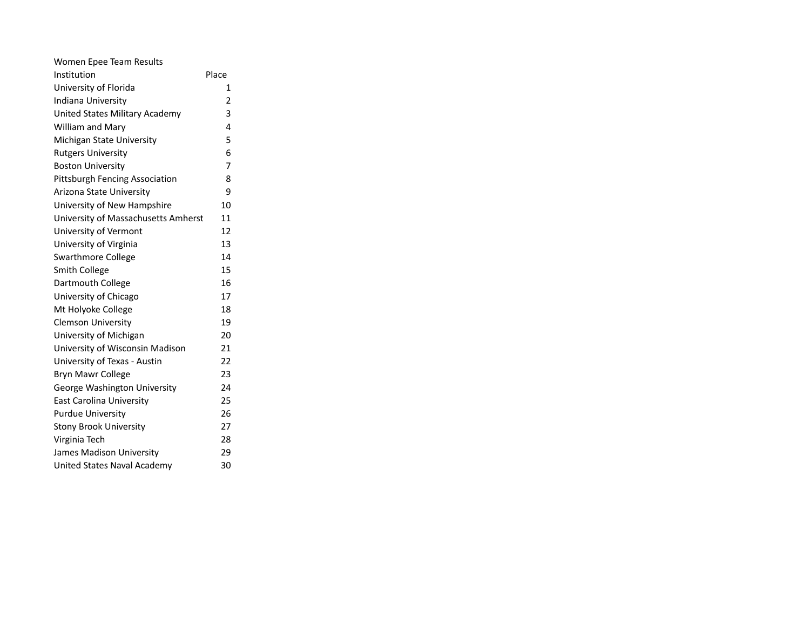| Women Epee Team Results             |                |
|-------------------------------------|----------------|
| Institution                         | Place          |
| University of Florida               | 1              |
| Indiana University                  | $\overline{2}$ |
| United States Military Academy      | 3              |
| <b>William and Mary</b>             | 4              |
| Michigan State University           | 5              |
| <b>Rutgers University</b>           | 6              |
| <b>Boston University</b>            | 7              |
| Pittsburgh Fencing Association      | 8              |
| Arizona State University            | 9              |
| University of New Hampshire         | 10             |
| University of Massachusetts Amherst | 11             |
| University of Vermont               | 12             |
| University of Virginia              | 13             |
| <b>Swarthmore College</b>           | 14             |
| <b>Smith College</b>                | 15             |
| Dartmouth College                   | 16             |
| University of Chicago               | 17             |
| Mt Holyoke College                  | 18             |
| <b>Clemson University</b>           | 19             |
| University of Michigan              | 20             |
| University of Wisconsin Madison     | 21             |
| University of Texas - Austin        | 22             |
| <b>Bryn Mawr College</b>            | 23             |
| George Washington University        | 24             |
| East Carolina University            | 25             |
| <b>Purdue University</b>            | 26             |
| <b>Stony Brook University</b>       | 27             |
| Virginia Tech                       | 28             |
| James Madison University            | 29             |
| United States Naval Academy         | 30             |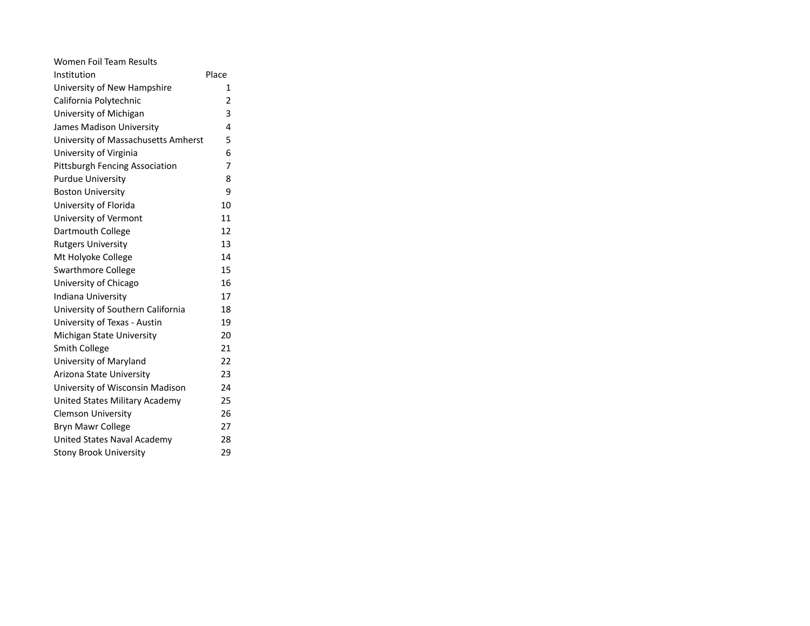| Women Foil Team Results             |       |
|-------------------------------------|-------|
| Institution                         | Place |
| University of New Hampshire         | 1     |
| California Polytechnic              | 2     |
| University of Michigan              | 3     |
| James Madison University            | 4     |
| University of Massachusetts Amherst | 5     |
| University of Virginia              | 6     |
| Pittsburgh Fencing Association      | 7     |
| <b>Purdue University</b>            | 8     |
| <b>Boston University</b>            | 9     |
| University of Florida               | 10    |
| University of Vermont               | 11    |
| Dartmouth College                   | 12    |
| <b>Rutgers University</b>           | 13    |
| Mt Holyoke College                  | 14    |
| <b>Swarthmore College</b>           | 15    |
| University of Chicago               | 16    |
| Indiana University                  | 17    |
| University of Southern California   | 18    |
| University of Texas - Austin        | 19    |
| Michigan State University           | 20    |
| <b>Smith College</b>                | 21    |
| University of Maryland              | 22    |
| Arizona State University            | 23    |
| University of Wisconsin Madison     | 24    |
| United States Military Academy      | 25    |
| <b>Clemson University</b>           | 26    |
| <b>Bryn Mawr College</b>            | 27    |
| United States Naval Academy         | 28    |
| <b>Stony Brook University</b>       | 29    |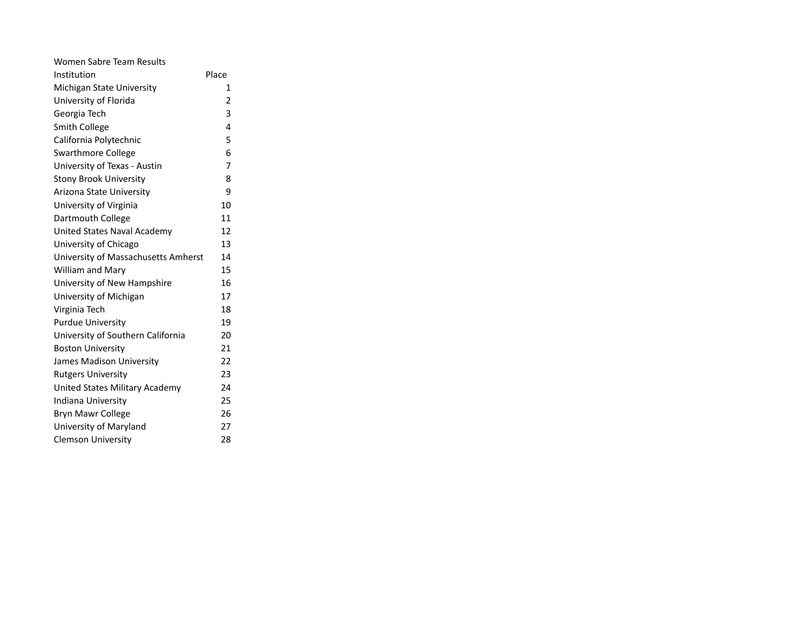| <b>Women Sabre Team Results</b>     |                |
|-------------------------------------|----------------|
| Institution                         | Place          |
| Michigan State University           | 1              |
| University of Florida               | $\overline{2}$ |
| Georgia Tech                        | 3              |
| Smith College                       | 4              |
| California Polytechnic              | 5              |
| <b>Swarthmore College</b>           | 6              |
| University of Texas - Austin        | 7              |
| <b>Stony Brook University</b>       | 8              |
| Arizona State University            | 9              |
| University of Virginia              | 10             |
| Dartmouth College                   | 11             |
| United States Naval Academy         | 12             |
| University of Chicago               | 13             |
| University of Massachusetts Amherst | 14             |
| <b>William and Mary</b>             | 15             |
| University of New Hampshire         | 16             |
| University of Michigan              | 17             |
| Virginia Tech                       | 18             |
| <b>Purdue University</b>            | 19             |
| University of Southern California   | 20             |
| <b>Boston University</b>            | 21             |
| James Madison University            | 22             |
| <b>Rutgers University</b>           | 23             |
| United States Military Academy      | 24             |
| Indiana University                  | 25             |
| Bryn Mawr College                   | 26             |
| University of Maryland              | 27             |
| <b>Clemson University</b>           | 28             |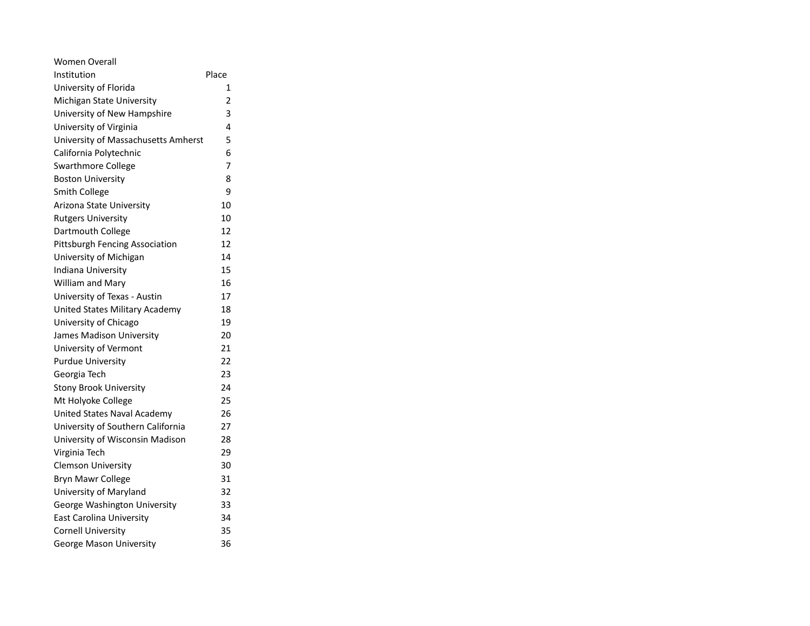| Women Overall                         |                |
|---------------------------------------|----------------|
| Institution                           | Place          |
| University of Florida                 | 1              |
| Michigan State University             | $\overline{2}$ |
| University of New Hampshire           | 3              |
| University of Virginia                | 4              |
| University of Massachusetts Amherst   | 5              |
| California Polytechnic                | 6              |
| <b>Swarthmore College</b>             | 7              |
| <b>Boston University</b>              | 8              |
| <b>Smith College</b>                  | 9              |
| Arizona State University              | 10             |
| <b>Rutgers University</b>             | 10             |
| Dartmouth College                     | 12             |
| <b>Pittsburgh Fencing Association</b> | 12             |
| University of Michigan                | 14             |
| Indiana University                    | 15             |
| William and Mary                      | 16             |
| University of Texas - Austin          | 17             |
| <b>United States Military Academy</b> | 18             |
| University of Chicago                 | 19             |
| James Madison University              | 20             |
| University of Vermont                 | 21             |
| <b>Purdue University</b>              | 22             |
| Georgia Tech                          | 23             |
| <b>Stony Brook University</b>         | 24             |
| Mt Holyoke College                    | 25             |
| United States Naval Academy           | 26             |
| University of Southern California     | 27             |
| University of Wisconsin Madison       | 28             |
| Virginia Tech                         | 29             |
| <b>Clemson University</b>             | 30             |
| Bryn Mawr College                     | 31             |
| University of Maryland                | 32             |
| George Washington University          | 33             |
| <b>East Carolina University</b>       | 34             |
| <b>Cornell University</b>             | 35             |
| <b>George Mason University</b>        | 36             |
|                                       |                |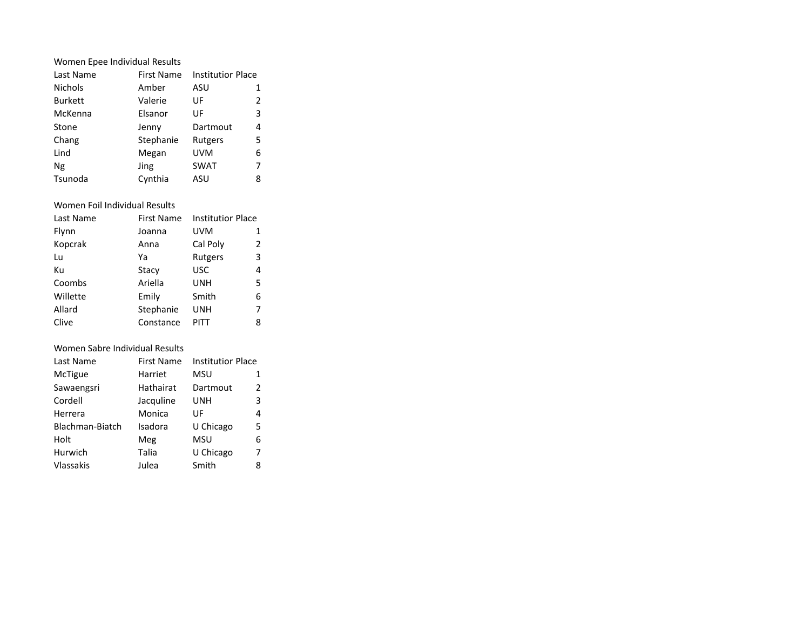| Women Epee Individual Results |                   |                   |   |
|-------------------------------|-------------------|-------------------|---|
| Last Name                     | <b>First Name</b> | Institutior Place |   |
| <b>Nichols</b>                | Amber             | ASU               | 1 |
| <b>Burkett</b>                | Valerie           | UF                | 2 |
| McKenna                       | Elsanor           | UF                | 3 |
| Stone                         | Jenny             | Dartmout          | 4 |
| Chang                         | Stephanie         | Rutgers           | 5 |
| Lind                          | Megan             | <b>UVM</b>        | 6 |
| Ng                            | Jing              | <b>SWAT</b>       | 7 |
| Tsunoda                       | Cynthia           | ASU               | 8 |
|                               |                   |                   |   |

## Women Foil Individual Results

| Last Name | <b>First Name</b> | <b>Institutior Place</b> |   |
|-----------|-------------------|--------------------------|---|
| Flynn     | Joanna            | <b>UVM</b>               | 1 |
| Kopcrak   | Anna              | Cal Poly                 | 2 |
| Lu        | Ya                | Rutgers                  | 3 |
| Кu        | Stacy             | <b>USC</b>               | 4 |
| Coombs    | Ariella           | UNH                      | 5 |
| Willette  | Emily             | Smith                    | 6 |
| Allard    | Stephanie         | UNH                      | 7 |
| Clive     | Constance         | PITT                     | 8 |

## Women Sabre Individual Results

| Last Name        | First Name | <b>Institutior Place</b> |   |
|------------------|------------|--------------------------|---|
| McTigue          | Harriet    | MSU                      | 1 |
| Sawaengsri       | Hathairat  | Dartmout                 | 2 |
| Cordell          | Jacquline  | UNH                      | 3 |
| Herrera          | Monica     | UF                       | 4 |
| Blachman-Biatch  | Isadora    | U Chicago                | 5 |
| Holt             | Meg        | MSU                      | 6 |
| Hurwich          | Talia      | U Chicago                | 7 |
| <b>Vlassakis</b> | Julea      | Smith                    | 8 |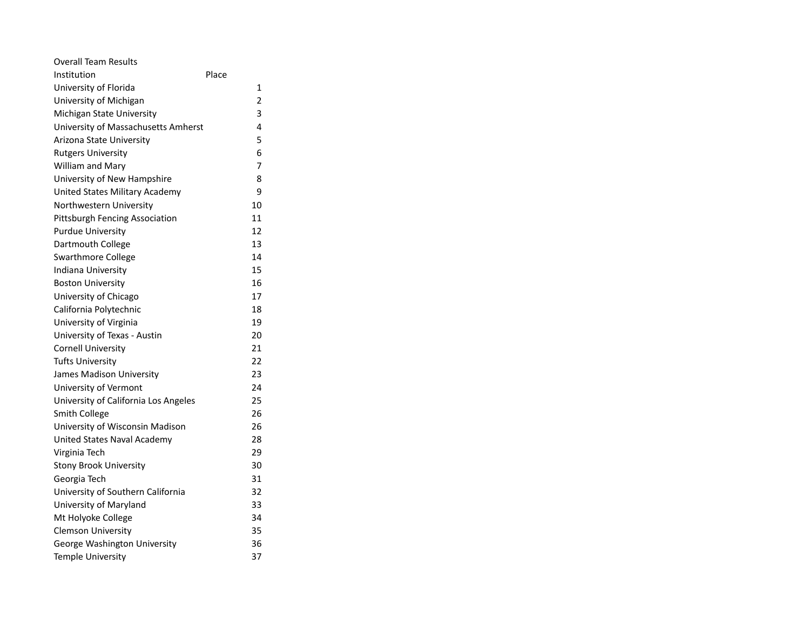| Overall Team Results                  |       |
|---------------------------------------|-------|
| Institution                           | Place |
| University of Florida                 | 1     |
| University of Michigan                | 2     |
| Michigan State University             | 3     |
| University of Massachusetts Amherst   | 4     |
| Arizona State University              | 5     |
| <b>Rutgers University</b>             | 6     |
| William and Mary                      | 7     |
| University of New Hampshire           | 8     |
| <b>United States Military Academy</b> | 9     |
| Northwestern University               | 10    |
| <b>Pittsburgh Fencing Association</b> | 11    |
| <b>Purdue University</b>              | 12    |
| Dartmouth College                     | 13    |
| <b>Swarthmore College</b>             | 14    |
| Indiana University                    | 15    |
| <b>Boston University</b>              | 16    |
| University of Chicago                 | 17    |
| California Polytechnic                | 18    |
| University of Virginia                | 19    |
| University of Texas - Austin          | 20    |
| <b>Cornell University</b>             | 21    |
| <b>Tufts University</b>               | 22    |
| <b>James Madison University</b>       | 23    |
| University of Vermont                 | 24    |
| University of California Los Angeles  | 25    |
| <b>Smith College</b>                  | 26    |
| University of Wisconsin Madison       | 26    |
| <b>United States Naval Academy</b>    | 28    |
| Virginia Tech                         | 29    |
| <b>Stony Brook University</b>         | 30    |
| Georgia Tech                          | 31    |
| University of Southern California     | 32    |
| University of Maryland                | 33    |
| Mt Holyoke College                    | 34    |
| <b>Clemson University</b>             | 35    |
| George Washington University          | 36    |
| <b>Temple University</b>              | 37    |